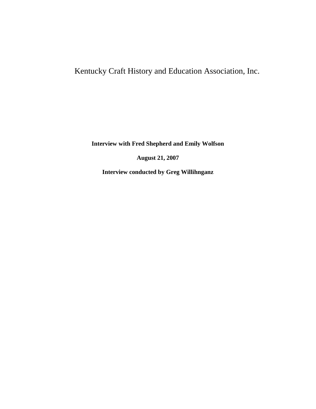# Kentucky Craft History and Education Association, Inc.

**Interview with Fred Shepherd and Emily Wolfson**

**August 21, 2007**

**Interview conducted by Greg Willihnganz**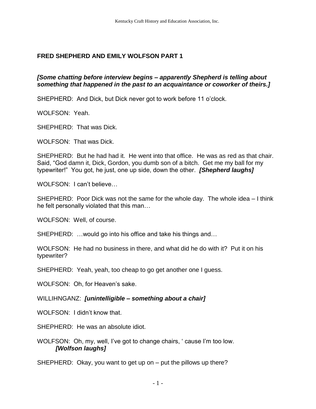# **FRED SHEPHERD AND EMILY WOLFSON PART 1**

## *[Some chatting before interview begins – apparently Shepherd is telling about something that happened in the past to an acquaintance or coworker of theirs.]*

SHEPHERD: And Dick, but Dick never got to work before 11 o'clock.

WOLFSON: Yeah.

SHEPHERD: That was Dick.

WOLFSON: That was Dick.

SHEPHERD: But he had had it. He went into that office. He was as red as that chair. Said, "God damn it, Dick, Gordon, you dumb son of a bitch. Get me my ball for my typewriter!" You got, he just, one up side, down the other. *[Shepherd laughs]*

WOLFSON: I can't believe…

SHEPHERD: Poor Dick was not the same for the whole day. The whole idea – I think he felt personally violated that this man…

WOLFSON: Well, of course.

SHEPHERD: …would go into his office and take his things and…

WOLFSON: He had no business in there, and what did he do with it? Put it on his typewriter?

SHEPHERD: Yeah, yeah, too cheap to go get another one I guess.

WOLFSON: Oh, for Heaven's sake.

WILLIHNGANZ: *[unintelligible – something about a chair]*

WOLFSON: I didn't know that.

SHEPHERD: He was an absolute idiot.

WOLFSON: Oh, my, well, I've got to change chairs, ' cause I'm too low. *[Wolfson laughs]*

SHEPHERD: Okay, you want to get up on – put the pillows up there?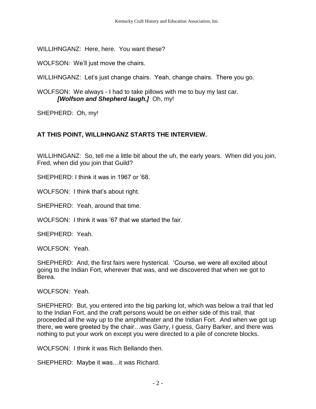WILLIHNGANZ: Here, here. You want these?

WOLFSON: We'll just move the chairs.

WILLIHNGANZ: Let's just change chairs. Yeah, change chairs. There you go.

WOLFSON: We always - I had to take pillows with me to buy my last car. *[Wolfson and Shepherd laugh.]* Oh, my!

SHEPHERD: Oh, my!

## **AT THIS POINT, WILLIHNGANZ STARTS THE INTERVIEW.**

WILLIHNGANZ: So, tell me a little bit about the uh, the early years. When did you join, Fred, when did you join that Guild?

SHEPHERD: I think it was in 1967 or '68.

WOLFSON: I think that's about right.

SHEPHERD: Yeah, around that time.

WOLFSON: I think it was '67 that we started the fair.

SHEPHERD: Yeah.

WOLFSON: Yeah.

SHEPHERD: And, the first fairs were hysterical. 'Course, we were all excited about going to the Indian Fort, wherever that was, and we discovered that when we got to Berea.

WOLFSON: Yeah.

SHEPHERD: But, you entered into the big parking lot, which was below a trail that led to the Indian Fort, and the craft persons would be on either side of this trail, that proceeded all the way up to the amphitheater and the Indian Fort. And when we got up there, we were greeted by the chair…was Garry, I guess, Garry Barker, and there was nothing to put your work on except you were directed to a pile of concrete blocks.

WOLFSON: I think it was Rich Bellando then.

SHEPHERD: Maybe it was…it was Richard.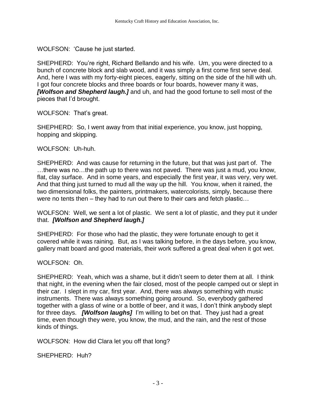WOLFSON: 'Cause he just started.

SHEPHERD: You're right, Richard Bellando and his wife. Um, you were directed to a bunch of concrete block and slab wood, and it was simply a first come first serve deal. And, here I was with my forty-eight pieces, eagerly, sitting on the side of the hill with uh. I got four concrete blocks and three boards or four boards, however many it was, *[Wolfson and Shepherd laugh.]* and uh, and had the good fortune to sell most of the pieces that I'd brought.

WOLFSON: That's great.

SHEPHERD: So, I went away from that initial experience, you know, just hopping, hopping and skipping.

WOLFSON: Uh-huh.

SHEPHERD: And was cause for returning in the future, but that was just part of. The …there was no…the path up to there was not paved. There was just a mud, you know, flat, clay surface. And in some years, and especially the first year, it was very, very wet. And that thing just turned to mud all the way up the hill. You know, when it rained, the two dimensional folks, the painters, printmakers, watercolorists, simply, because there were no tents then – they had to run out there to their cars and fetch plastic…

WOLFSON: Well, we sent a lot of plastic. We sent a lot of plastic, and they put it under that. *[Wolfson and Shepherd laugh.]*

SHEPHERD: For those who had the plastic, they were fortunate enough to get it covered while it was raining. But, as I was talking before, in the days before, you know, gallery matt board and good materials, their work suffered a great deal when it got wet.

WOLFSON: Oh.

SHEPHERD: Yeah, which was a shame, but it didn't seem to deter them at all. I think that night, in the evening when the fair closed, most of the people camped out or slept in their car. I slept in my car, first year. And, there was always something with music instruments. There was always something going around. So, everybody gathered together with a glass of wine or a bottle of beer, and it was, I don't think anybody slept for three days. *[Wolfson laughs]* I'm willing to bet on that. They just had a great time, even though they were, you know, the mud, and the rain, and the rest of those kinds of things.

WOLFSON: How did Clara let you off that long?

SHEPHERD: Huh?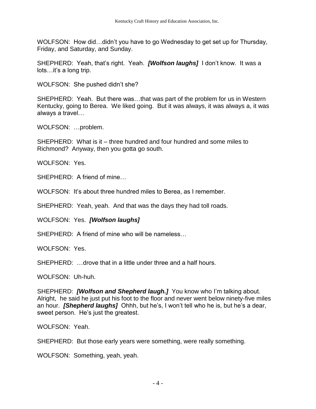WOLFSON: How did…didn't you have to go Wednesday to get set up for Thursday, Friday, and Saturday, and Sunday.

SHEPHERD: Yeah, that's right. Yeah. *[Wolfson laughs]* I don't know. It was a lots…it's a long trip.

WOLFSON: She pushed didn't she?

SHEPHERD: Yeah. But there was…that was part of the problem for us in Western Kentucky, going to Berea. We liked going. But it was always, it was always a, it was always a travel…

WOLFSON: …problem.

SHEPHERD: What is it – three hundred and four hundred and some miles to Richmond? Anyway, then you gotta go south.

WOLFSON: Yes.

SHEPHERD: A friend of mine…

WOLFSON: It's about three hundred miles to Berea, as I remember.

SHEPHERD: Yeah, yeah. And that was the days they had toll roads.

WOLFSON: Yes. *[Wolfson laughs]*

SHEPHERD: A friend of mine who will be nameless

WOLFSON: Yes.

SHEPHERD: …drove that in a little under three and a half hours.

WOLFSON: Uh-huh.

SHEPHERD: *[Wolfson and Shepherd laugh.]* You know who I'm talking about. Alright, he said he just put his foot to the floor and never went below ninety-five miles an hour. *[Shepherd laughs]* Ohhh, but he's, I won't tell who he is, but he's a dear, sweet person. He's just the greatest.

WOLFSON: Yeah.

SHEPHERD: But those early years were something, were really something.

WOLFSON: Something, yeah, yeah.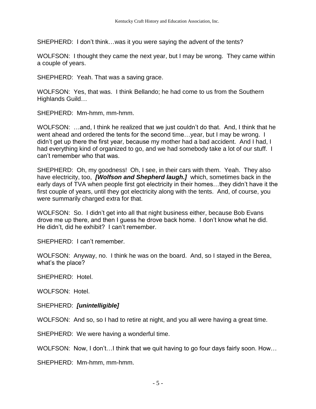SHEPHERD: I don't think…was it you were saying the advent of the tents?

WOLFSON: I thought they came the next year, but I may be wrong. They came within a couple of years.

SHEPHERD: Yeah. That was a saving grace.

WOLFSON: Yes, that was. I think Bellando; he had come to us from the Southern Highlands Guild…

SHEPHERD: Mm-hmm, mm-hmm.

WOLFSON: …and, I think he realized that we just couldn't do that. And, I think that he went ahead and ordered the tents for the second time... year, but I may be wrong. I didn't get up there the first year, because my mother had a bad accident. And I had, I had everything kind of organized to go, and we had somebody take a lot of our stuff. I can't remember who that was.

SHEPHERD: Oh, my goodness! Oh, I see, in their cars with them. Yeah. They also have electricity, too, *[Wolfson and Shepherd laugh.]* which, sometimes back in the early days of TVA when people first got electricity in their homes…they didn't have it the first couple of years, until they got electricity along with the tents. And, of course, you were summarily charged extra for that.

WOLFSON: So. I didn't get into all that night business either, because Bob Evans drove me up there, and then I guess he drove back home. I don't know what he did. He didn't, did he exhibit? I can't remember.

SHEPHERD: I can't remember.

WOLFSON: Anyway, no. I think he was on the board. And, so I stayed in the Berea, what's the place?

SHEPHERD: Hotel.

WOLFSON: Hotel.

SHEPHERD: *[unintelligible]*

WOLFSON: And so, so I had to retire at night, and you all were having a great time.

SHEPHERD: We were having a wonderful time.

WOLFSON: Now, I don't…I think that we quit having to go four days fairly soon. How…

SHEPHERD: Mm-hmm, mm-hmm.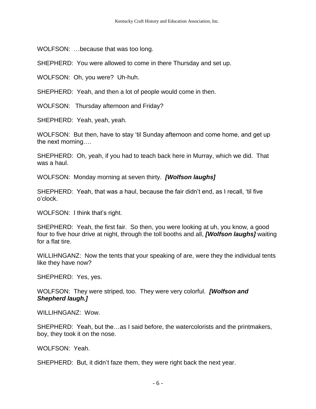WOLFSON: …because that was too long.

SHEPHERD: You were allowed to come in there Thursday and set up.

WOLFSON: Oh, you were? Uh-huh.

SHEPHERD: Yeah, and then a lot of people would come in then.

WOLFSON: Thursday afternoon and Friday?

SHEPHERD: Yeah, yeah, yeah.

WOLFSON: But then, have to stay 'til Sunday afternoon and come home, and get up the next morning….

SHEPHERD: Oh, yeah, if you had to teach back here in Murray, which we did. That was a haul.

WOLFSON: Monday morning at seven thirty. *[Wolfson laughs]*

SHEPHERD: Yeah, that was a haul, because the fair didn't end, as I recall, 'til five o'clock.

WOLFSON: I think that's right.

SHEPHERD: Yeah, the first fair. So then, you were looking at uh, you know, a good four to five hour drive at night, through the toll booths and all, *[Wolfson laughs]* waiting for a flat tire.

WILLIHNGANZ: Now the tents that your speaking of are, were they the individual tents like they have now?

SHEPHERD: Yes, yes.

WOLFSON: They were striped, too. They were very colorful. *[Wolfson and Shepherd laugh.]*

WILLIHNGANZ: Wow.

SHEPHERD: Yeah, but the…as I said before, the watercolorists and the printmakers, boy, they took it on the nose.

WOLFSON: Yeah.

SHEPHERD: But, it didn't faze them, they were right back the next year.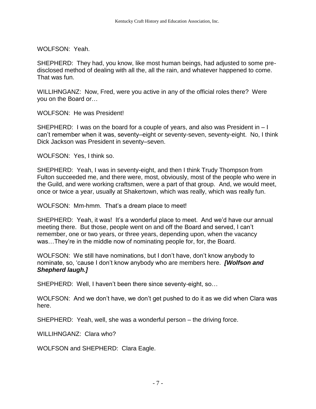WOLFSON: Yeah.

SHEPHERD: They had, you know, like most human beings, had adjusted to some predisclosed method of dealing with all the, all the rain, and whatever happened to come. That was fun.

WILLIHNGANZ: Now, Fred, were you active in any of the official roles there? Were you on the Board or…

WOLFSON: He was President!

SHEPHERD: I was on the board for a couple of years, and also was President in – I can't remember when it was, seventy–eight or seventy-seven, seventy-eight. No, I think Dick Jackson was President in seventy–seven.

WOLFSON: Yes, I think so.

SHEPHERD: Yeah, I was in seventy-eight, and then I think Trudy Thompson from Fulton succeeded me, and there were, most, obviously, most of the people who were in the Guild, and were working craftsmen, were a part of that group. And, we would meet, once or twice a year, usually at Shakertown, which was really, which was really fun.

WOLFSON: Mm-hmm. That's a dream place to meet!

SHEPHERD: Yeah, it was! It's a wonderful place to meet. And we'd have our annual meeting there. But those, people went on and off the Board and served, I can't remember, one or two years, or three years, depending upon, when the vacancy was…They're in the middle now of nominating people for, for, the Board.

WOLFSON: We still have nominations, but I don't have, don't know anybody to nominate, so, 'cause I don't know anybody who are members here. *[Wolfson and Shepherd laugh.]*

SHEPHERD: Well, I haven't been there since seventy-eight, so…

WOLFSON: And we don't have, we don't get pushed to do it as we did when Clara was here.

SHEPHERD: Yeah, well, she was a wonderful person – the driving force.

WILLIHNGANZ: Clara who?

WOLFSON and SHEPHERD: Clara Eagle.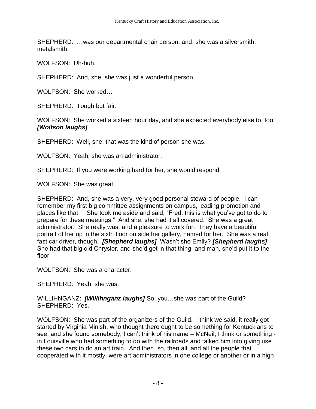SHEPHERD: …was our departmental chair person, and, she was a silversmith, metalsmith.

WOLFSON: Uh-huh.

SHEPHERD: And, she, she was just a wonderful person.

WOLFSON: She worked…

SHEPHERD: Tough but fair.

WOLFSON: She worked a sixteen hour day, and she expected everybody else to, too. *[Wolfson laughs]*

SHEPHERD: Well, she, that was the kind of person she was.

WOLFSON: Yeah, she was an administrator.

SHEPHERD: If you were working hard for her, she would respond.

WOLFSON: She was great.

SHEPHERD: And, she was a very, very good personal steward of people. I can remember my first big committee assignments on campus, leading promotion and places like that. She took me aside and said, "Fred, this is what you've got to do to prepare for these meetings." And she, she had it all covered. She was a great administrator. She really was, and a pleasure to work for. They have a beautiful portrait of her up in the sixth floor outside her gallery, named for her. She was a real fast car driver, though. *[Shepherd laughs]* Wasn't she Emily? *[Shepherd laughs]* She had that big old Chrysler, and she'd get in that thing, and man, she'd put it to the floor.

WOLFSON: She was a character.

SHEPHERD: Yeah, she was.

WILLIHNGANZ: *[Willihnganz laughs]* So, you…she was part of the Guild? SHEPHERD: Yes.

WOLFSON: She was part of the organizers of the Guild. I think we said, it really got started by Virginia Minish, who thought there ought to be something for Kentuckians to see, and she found somebody, I can't think of his name – McNeil, I think or something in Louisville who had something to do with the railroads and talked him into giving use these two cars to do an art train. And then, so, then all, and all the people that cooperated with it mostly, were art administrators in one college or another or in a high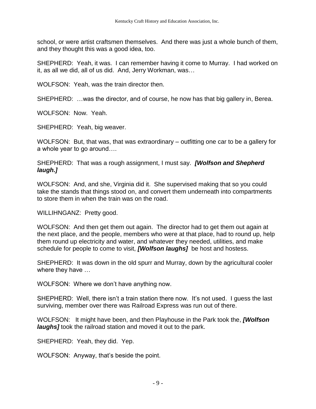school, or were artist craftsmen themselves. And there was just a whole bunch of them, and they thought this was a good idea, too.

SHEPHERD: Yeah, it was. I can remember having it come to Murray. I had worked on it, as all we did, all of us did. And, Jerry Workman, was…

WOLFSON: Yeah, was the train director then.

SHEPHERD: …was the director, and of course, he now has that big gallery in, Berea.

WOLFSON: Now. Yeah.

SHEPHERD: Yeah, big weaver.

WOLFSON: But, that was, that was extraordinary – outfitting one car to be a gallery for a whole year to go around….

SHEPHERD: That was a rough assignment, I must say. *[Wolfson and Shepherd laugh.]*

WOLFSON: And, and she, Virginia did it. She supervised making that so you could take the stands that things stood on, and convert them underneath into compartments to store them in when the train was on the road.

WILLIHNGANZ: Pretty good.

WOLFSON: And then get them out again. The director had to get them out again at the next place, and the people, members who were at that place, had to round up, help them round up electricity and water, and whatever they needed, utilities, and make schedule for people to come to visit, *[Wolfson laughs]* be host and hostess.

SHEPHERD: It was down in the old spurr and Murray, down by the agricultural cooler where they have …

WOLFSON: Where we don't have anything now.

SHEPHERD: Well, there isn't a train station there now. It's not used. I guess the last surviving, member over there was Railroad Express was run out of there.

WOLFSON: It might have been, and then Playhouse in the Park took the, *[Wolfson laughs]* took the railroad station and moved it out to the park.

SHEPHERD: Yeah, they did. Yep.

WOLFSON: Anyway, that's beside the point.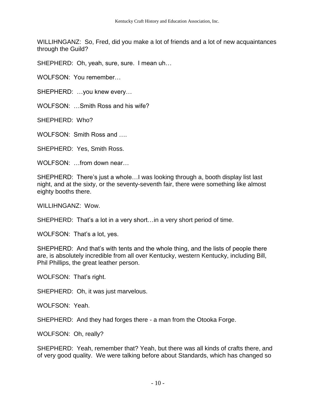WILLIHNGANZ: So, Fred, did you make a lot of friends and a lot of new acquaintances through the Guild?

SHEPHERD: Oh, yeah, sure, sure. I mean uh…

WOLFSON: You remember…

SHEPHERD: …you knew every…

WOLFSON: …Smith Ross and his wife?

SHEPHERD: Who?

WOLFSON: Smith Ross and ….

SHEPHERD: Yes, Smith Ross.

WOLFSON: from down near

SHEPHERD: There's just a whole…I was looking through a, booth display list last night, and at the sixty, or the seventy-seventh fair, there were something like almost eighty booths there.

WILLIHNGANZ: Wow.

SHEPHERD: That's a lot in a very short…in a very short period of time.

WOLFSON: That's a lot, yes.

SHEPHERD: And that's with tents and the whole thing, and the lists of people there are, is absolutely incredible from all over Kentucky, western Kentucky, including Bill, Phil Phillips, the great leather person.

WOLFSON: That's right.

SHEPHERD: Oh, it was just marvelous.

WOLFSON: Yeah.

SHEPHERD: And they had forges there - a man from the Otooka Forge.

WOLFSON: Oh, really?

SHEPHERD: Yeah, remember that? Yeah, but there was all kinds of crafts there, and of very good quality. We were talking before about Standards, which has changed so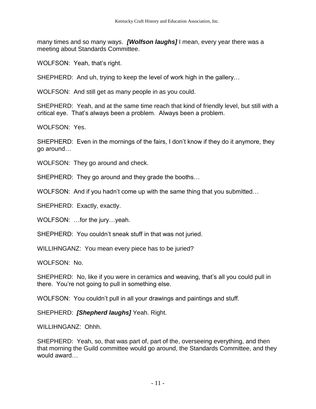many times and so many ways. *[Wolfson laughs]* I mean, every year there was a meeting about Standards Committee.

WOLFSON: Yeah, that's right.

SHEPHERD: And uh, trying to keep the level of work high in the gallery…

WOLFSON: And still get as many people in as you could.

SHEPHERD: Yeah, and at the same time reach that kind of friendly level, but still with a critical eye. That's always been a problem. Always been a problem.

WOLFSON: Yes.

SHEPHERD: Even in the mornings of the fairs, I don't know if they do it anymore, they go around…

WOLFSON: They go around and check.

SHEPHERD: They go around and they grade the booths…

WOLFSON: And if you hadn't come up with the same thing that you submitted…

SHEPHERD: Exactly, exactly.

WOLFSON: …for the jury…yeah.

SHEPHERD: You couldn't sneak stuff in that was not juried.

WILLIHNGANZ: You mean every piece has to be juried?

WOLFSON: No.

SHEPHERD: No, like if you were in ceramics and weaving, that's all you could pull in there. You're not going to pull in something else.

WOLFSON: You couldn't pull in all your drawings and paintings and stuff.

SHEPHERD: *[Shepherd laughs]* Yeah. Right.

WILLIHNGANZ: Ohhh.

SHEPHERD: Yeah, so, that was part of, part of the, overseeing everything, and then that morning the Guild committee would go around, the Standards Committee, and they would award…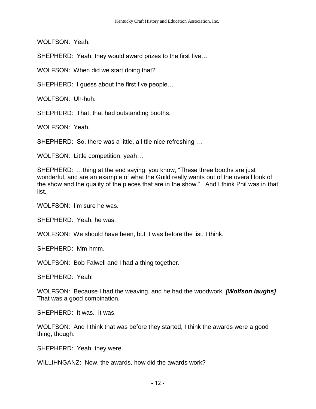WOLFSON: Yeah.

SHEPHERD: Yeah, they would award prizes to the first five…

WOLFSON: When did we start doing that?

SHEPHERD: I guess about the first five people…

WOLFSON: Uh-huh.

SHEPHERD: That, that had outstanding booths.

WOLFSON: Yeah.

SHEPHERD: So, there was a little, a little nice refreshing …

WOLFSON: Little competition, yeah…

SHEPHERD: …thing at the end saying, you know, "These three booths are just wonderful, and are an example of what the Guild really wants out of the overall look of the show and the quality of the pieces that are in the show." And I think Phil was in that list.

WOLFSON: I'm sure he was.

SHEPHERD: Yeah, he was.

WOLFSON: We should have been, but it was before the list, I think.

SHEPHERD: Mm-hmm.

WOLFSON: Bob Falwell and I had a thing together.

SHEPHERD: Yeah!

WOLFSON: Because I had the weaving, and he had the woodwork. *[Wolfson laughs]* That was a good combination.

SHEPHERD: It was. It was.

WOLFSON: And I think that was before they started, I think the awards were a good thing, though.

SHEPHERD: Yeah, they were.

WILLIHNGANZ: Now, the awards, how did the awards work?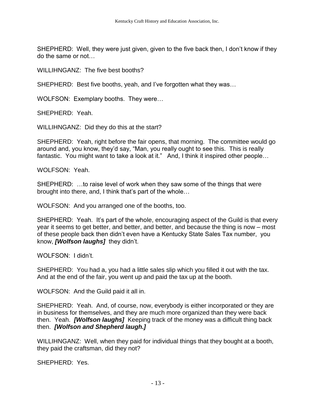SHEPHERD: Well, they were just given, given to the five back then, I don't know if they do the same or not…

WILLIHNGANZ: The five best booths?

SHEPHERD: Best five booths, yeah, and I've forgotten what they was…

WOLFSON: Exemplary booths. They were…

SHEPHERD: Yeah.

WILLIHNGANZ: Did they do this at the start?

SHEPHERD: Yeah, right before the fair opens, that morning. The committee would go around and, you know, they'd say, "Man, you really ought to see this. This is really fantastic. You might want to take a look at it." And, I think it inspired other people...

WOLFSON: Yeah.

SHEPHERD: …to raise level of work when they saw some of the things that were brought into there, and, I think that's part of the whole…

WOLFSON: And you arranged one of the booths, too.

SHEPHERD: Yeah. It's part of the whole, encouraging aspect of the Guild is that every year it seems to get better, and better, and better, and because the thing is now – most of these people back then didn't even have a Kentucky State Sales Tax number, you know, *[Wolfson laughs]* they didn't.

WOLFSON: I didn't.

SHEPHERD: You had a, you had a little sales slip which you filled it out with the tax. And at the end of the fair, you went up and paid the tax up at the booth.

WOLFSON: And the Guild paid it all in.

SHEPHERD: Yeah. And, of course, now, everybody is either incorporated or they are in business for themselves, and they are much more organized than they were back then. Yeah. *[Wolfson laughs]* Keeping track of the money was a difficult thing back then. *[Wolfson and Shepherd laugh.]*

WILLIHNGANZ: Well, when they paid for individual things that they bought at a booth, they paid the craftsman, did they not?

SHEPHERD: Yes.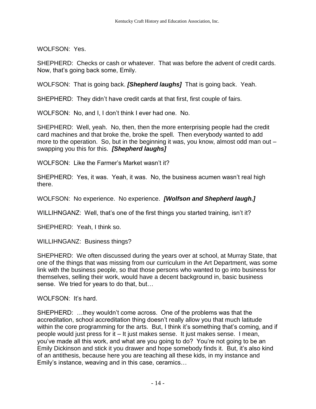WOLFSON: Yes.

SHEPHERD: Checks or cash or whatever. That was before the advent of credit cards. Now, that's going back some, Emily.

WOLFSON: That is going back. *[Shepherd laughs]* That is going back. Yeah.

SHEPHERD: They didn't have credit cards at that first, first couple of fairs.

WOLFSON: No, and I, I don't think I ever had one. No.

SHEPHERD: Well, yeah. No, then, then the more enterprising people had the credit card machines and that broke the, broke the spell. Then everybody wanted to add more to the operation. So, but in the beginning it was, you know, almost odd man out – swapping you this for this. *[Shepherd laughs]*

WOLFSON: Like the Farmer's Market wasn't it?

SHEPHERD: Yes, it was. Yeah, it was. No, the business acumen wasn't real high there.

WOLFSON: No experience. No experience. *[Wolfson and Shepherd laugh.]*

WILLIHNGANZ: Well, that's one of the first things you started training, isn't it?

SHEPHERD: Yeah, I think so.

WILLIHNGANZ: Business things?

SHEPHERD: We often discussed during the years over at school, at Murray State, that one of the things that was missing from our curriculum in the Art Department, was some link with the business people, so that those persons who wanted to go into business for themselves, selling their work, would have a decent background in, basic business sense. We tried for years to do that, but…

WOLFSON: It's hard.

SHEPHERD: …they wouldn't come across. One of the problems was that the accreditation, school accreditation thing doesn't really allow you that much latitude within the core programming for the arts. But, I think it's something that's coming, and if people would just press for it – It just makes sense. It just makes sense. I mean, you've made all this work, and what are you going to do? You're not going to be an Emily Dickinson and stick it you drawer and hope somebody finds it. But, it's also kind of an antithesis, because here you are teaching all these kids, in my instance and Emily's instance, weaving and in this case, ceramics…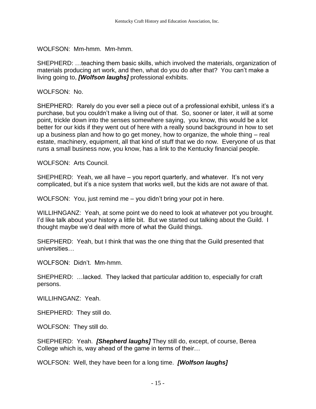WOLFSON: Mm-hmm. Mm-hmm.

SHEPHERD: …teaching them basic skills, which involved the materials, organization of materials producing art work, and then, what do you do after that? You can't make a living going to, *[Wolfson laughs]* professional exhibits.

WOLFSON: No.

SHEPHERD: Rarely do you ever sell a piece out of a professional exhibit, unless it's a purchase, but you couldn't make a living out of that. So, sooner or later, it will at some point, trickle down into the senses somewhere saying, you know, this would be a lot better for our kids if they went out of here with a really sound background in how to set up a business plan and how to go get money, how to organize, the whole thing – real estate, machinery, equipment, all that kind of stuff that we do now. Everyone of us that runs a small business now, you know, has a link to the Kentucky financial people.

WOLFSON: Arts Council.

SHEPHERD: Yeah, we all have – you report quarterly, and whatever. It's not very complicated, but it's a nice system that works well, but the kids are not aware of that.

WOLFSON: You, just remind me – you didn't bring your pot in here.

WILLIHNGANZ: Yeah, at some point we do need to look at whatever pot you brought. I'd like talk about your history a little bit. But we started out talking about the Guild. I thought maybe we'd deal with more of what the Guild things.

SHEPHERD: Yeah, but I think that was the one thing that the Guild presented that universities…

WOLFSON: Didn't. Mm-hmm.

SHEPHERD: …lacked. They lacked that particular addition to, especially for craft persons.

WILLIHNGANZ: Yeah.

SHEPHERD: They still do.

WOLFSON: They still do.

SHEPHERD: Yeah. *[Shepherd laughs]* They still do, except, of course, Berea College which is, way ahead of the game in terms of their…

WOLFSON: Well, they have been for a long time. *[Wolfson laughs]*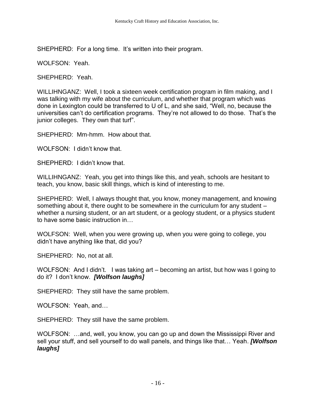SHEPHERD: For a long time. It's written into their program.

WOLFSON: Yeah.

SHEPHERD: Yeah.

WILLIHNGANZ: Well, I took a sixteen week certification program in film making, and I was talking with my wife about the curriculum, and whether that program which was done in Lexington could be transferred to U of L, and she said, "Well, no, because the universities can't do certification programs. They're not allowed to do those. That's the junior colleges. They own that turf".

SHEPHERD: Mm-hmm. How about that.

WOLFSON: I didn't know that.

SHEPHERD: I didn't know that.

WILLIHNGANZ: Yeah, you get into things like this, and yeah, schools are hesitant to teach, you know, basic skill things, which is kind of interesting to me.

SHEPHERD: Well, I always thought that, you know, money management, and knowing something about it, there ought to be somewhere in the curriculum for any student – whether a nursing student, or an art student, or a geology student, or a physics student to have some basic instruction in…

WOLFSON: Well, when you were growing up, when you were going to college, you didn't have anything like that, did you?

SHEPHERD: No, not at all.

WOLFSON: And I didn't. I was taking art – becoming an artist, but how was I going to do it? I don't know. *[Wolfson laughs]*

SHEPHERD: They still have the same problem.

WOLFSON: Yeah, and…

SHEPHERD: They still have the same problem.

WOLFSON: …and, well, you know, you can go up and down the Mississippi River and sell your stuff, and sell yourself to do wall panels, and things like that… Yeah. *[Wolfson laughs]*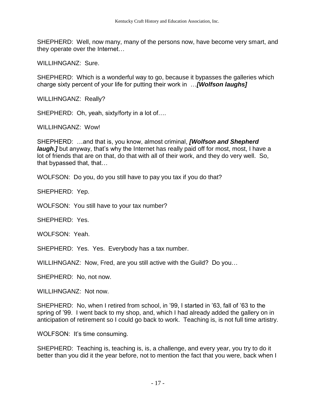SHEPHERD: Well, now many, many of the persons now, have become very smart, and they operate over the Internet…

WILLIHNGANZ: Sure.

SHEPHERD: Which is a wonderful way to go, because it bypasses the galleries which charge sixty percent of your life for putting their work in …*[Wolfson laughs]*

WILLIHNGANZ: Really?

SHEPHERD: Oh, yeah, sixty/forty in a lot of….

WILLIHNGANZ: Wow!

SHEPHERD: …and that is, you know, almost criminal, *[Wolfson and Shepherd laugh.]* but anyway, that's why the Internet has really paid off for most, most, I have a lot of friends that are on that, do that with all of their work, and they do very well. So, that bypassed that, that…

WOLFSON: Do you, do you still have to pay you tax if you do that?

SHEPHERD: Yep.

WOLFSON: You still have to your tax number?

SHEPHERD: Yes.

WOLFSON: Yeah.

SHEPHERD: Yes. Yes. Everybody has a tax number.

WILLIHNGANZ: Now, Fred, are you still active with the Guild? Do you…

SHEPHERD: No, not now.

WILLIHNGANZ: Not now.

SHEPHERD: No, when I retired from school, in '99, I started in '63, fall of '63 to the spring of '99. I went back to my shop, and, which I had already added the gallery on in anticipation of retirement so I could go back to work. Teaching is, is not full time artistry.

WOLFSON: It's time consuming.

SHEPHERD: Teaching is, teaching is, is, a challenge, and every year, you try to do it better than you did it the year before, not to mention the fact that you were, back when I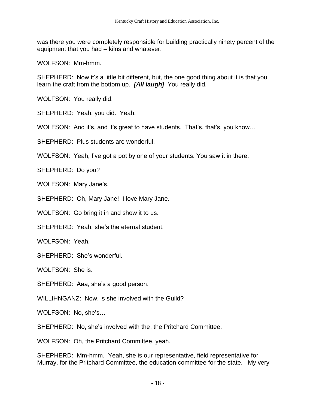was there you were completely responsible for building practically ninety percent of the equipment that you had – kilns and whatever.

WOLFSON: Mm-hmm.

SHEPHERD: Now it's a little bit different, but, the one good thing about it is that you learn the craft from the bottom up. *[All laugh]* You really did.

WOLFSON: You really did.

SHEPHERD: Yeah, you did. Yeah.

WOLFSON: And it's, and it's great to have students. That's, that's, you know...

SHEPHERD: Plus students are wonderful.

WOLFSON: Yeah, I've got a pot by one of your students. You saw it in there.

SHEPHERD: Do you?

WOLFSON: Mary Jane's.

SHEPHERD: Oh, Mary Jane! I love Mary Jane.

WOLFSON: Go bring it in and show it to us.

SHEPHERD: Yeah, she's the eternal student.

WOLFSON: Yeah.

SHEPHERD: She's wonderful.

WOLFSON: She is.

SHEPHERD: Aaa, she's a good person.

WILLIHNGANZ: Now, is she involved with the Guild?

WOLFSON: No, she's…

SHEPHERD: No, she's involved with the, the Pritchard Committee.

WOLFSON: Oh, the Pritchard Committee, yeah.

SHEPHERD: Mm-hmm. Yeah, she is our representative, field representative for Murray, for the Pritchard Committee, the education committee for the state. My very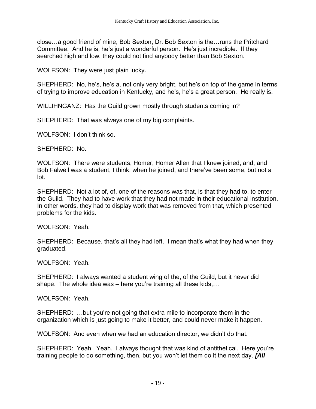close…a good friend of mine, Bob Sexton, Dr. Bob Sexton is the…runs the Pritchard Committee. And he is, he's just a wonderful person. He's just incredible. If they searched high and low, they could not find anybody better than Bob Sexton.

WOLFSON: They were just plain lucky.

SHEPHERD: No, he's, he's a, not only very bright, but he's on top of the game in terms of trying to improve education in Kentucky, and he's, he's a great person. He really is.

WILLIHNGANZ: Has the Guild grown mostly through students coming in?

SHEPHERD: That was always one of my big complaints.

WOLFSON: I don't think so.

SHEPHERD: No.

WOLFSON: There were students, Homer, Homer Allen that I knew joined, and, and Bob Falwell was a student, I think, when he joined, and there've been some, but not a lot.

SHEPHERD: Not a lot of, of, one of the reasons was that, is that they had to, to enter the Guild. They had to have work that they had not made in their educational institution. In other words, they had to display work that was removed from that, which presented problems for the kids.

WOLFSON: Yeah.

SHEPHERD: Because, that's all they had left. I mean that's what they had when they graduated.

WOLFSON: Yeah.

SHEPHERD: I always wanted a student wing of the, of the Guild, but it never did shape. The whole idea was – here you're training all these kids,...

WOLFSON: Yeah.

SHEPHERD: …but you're not going that extra mile to incorporate them in the organization which is just going to make it better, and could never make it happen.

WOLFSON: And even when we had an education director, we didn't do that.

SHEPHERD: Yeah. Yeah. I always thought that was kind of antithetical. Here you're training people to do something, then, but you won't let them do it the next day. *[All*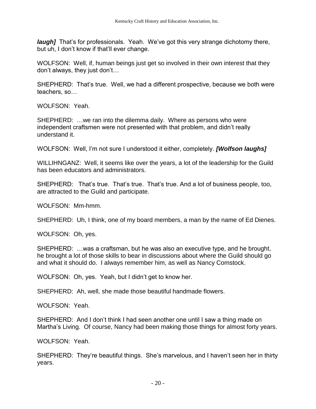*laugh]* That's for professionals. Yeah. We've got this very strange dichotomy there, but uh, I don't know if that'll ever change.

WOLFSON: Well, if, human beings just get so involved in their own interest that they don't always, they just don't…

SHEPHERD: That's true. Well, we had a different prospective, because we both were teachers, so…

WOLFSON: Yeah.

SHEPHERD: …we ran into the dilemma daily. Where as persons who were independent craftsmen were not presented with that problem, and didn't really understand it.

WOLFSON: Well, I'm not sure I understood it either, completely. *[Wolfson laughs]*

WILLIHNGANZ: Well, it seems like over the years, a lot of the leadership for the Guild has been educators and administrators.

SHEPHERD: That's true. That's true. That's true. And a lot of business people, too, are attracted to the Guild and participate.

WOLFSON: Mm-hmm.

SHEPHERD: Uh, I think, one of my board members, a man by the name of Ed Dienes.

WOLFSON: Oh, yes.

SHEPHERD: …was a craftsman, but he was also an executive type, and he brought, he brought a lot of those skills to bear in discussions about where the Guild should go and what it should do. I always remember him, as well as Nancy Comstock.

WOLFSON: Oh, yes. Yeah, but I didn't get to know her.

SHEPHERD: Ah, well, she made those beautiful handmade flowers.

WOLFSON: Yeah.

SHEPHERD: And I don't think I had seen another one until I saw a thing made on Martha's Living. Of course, Nancy had been making those things for almost forty years.

WOLFSON: Yeah.

SHEPHERD: They're beautiful things. She's marvelous, and I haven't seen her in thirty years.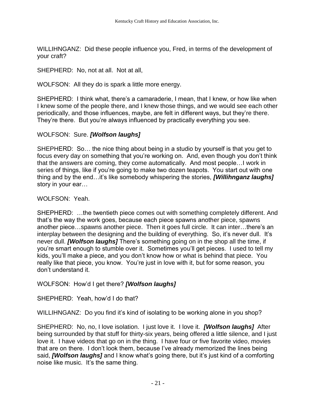WILLIHNGANZ: Did these people influence you, Fred, in terms of the development of your craft?

SHEPHERD: No, not at all. Not at all,

WOLFSON: All they do is spark a little more energy.

SHEPHERD: I think what, there's a camaraderie, I mean, that I knew, or how like when I knew some of the people there, and I knew those things, and we would see each other periodically, and those influences, maybe, are felt in different ways, but they're there. They're there. But you're always influenced by practically everything you see.

## WOLFSON: Sure. *[Wolfson laughs]*

SHEPHERD: So… the nice thing about being in a studio by yourself is that you get to focus every day on something that you're working on. And, even though you don't think that the answers are coming, they come automatically. And most people…I work in series of things, like if you're going to make two dozen teapots. You start out with one thing and by the end…it's like somebody whispering the stories, *[Willihnganz laughs]* story in your ear…

#### WOLFSON: Yeah.

SHEPHERD: …the twentieth piece comes out with something completely different. And that's the way the work goes, because each piece spawns another piece, spawns another piece…spawns another piece. Then it goes full circle. It can inter…there's an interplay between the designing and the building of everything. So, it's never dull. It's never dull. *[Wolfson laughs]* There's something going on in the shop all the time, if you're smart enough to stumble over it. Sometimes you'll get pieces. I used to tell my kids, you'll make a piece, and you don't know how or what is behind that piece. You really like that piece, you know. You're just in love with it, but for some reason, you don't understand it.

WOLFSON: How'd I get there? *[Wolfson laughs]*

SHEPHERD: Yeah, how'd I do that?

WILLIHNGANZ: Do you find it's kind of isolating to be working alone in you shop?

SHEPHERD: No, no, I love isolation. I just love it. I love it. *[Wolfson laughs]* After being surrounded by that stuff for thirty-six years, being offered a little silence, and I just love it. I have videos that go on in the thing. I have four or five favorite video, movies that are on there. I don't look them, because I've already memorized the lines being said, *[Wolfson laughs]* and I know what's going there, but it's just kind of a comforting noise like music. It's the same thing.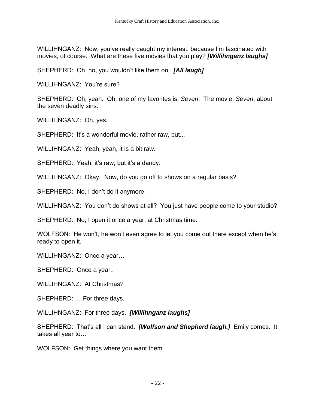WILLIHNGANZ: Now, you've really caught my interest, because I'm fascinated with movies, of course. What are these five movies that you play? *[Willihnganz laughs]*

SHEPHERD: Oh, no, you wouldn't like them on. *[All laugh]*

WILLIHNGANZ: You're sure?

SHEPHERD: Oh, yeah. Oh, one of my favorites is, *Seven*. The movie, *Seven*, about the seven deadly sins.

WILLIHNGANZ: Oh, yes.

SHEPHERD: It's a wonderful movie, rather raw, but...

WILLIHNGANZ: Yeah, yeah, it is a bit raw.

SHEPHERD: Yeah, it's raw, but it's a dandy.

WILLIHNGANZ: Okay. Now, do you go off to shows on a regular basis?

SHEPHERD: No, I don't do it anymore.

WILLIHNGANZ: You don't do shows at all? You just have people come to your studio?

SHEPHERD: No, I open it once a year, at Christmas time.

WOLFSON: He won't, he won't even agree to let you come out there except when he's ready to open it.

WILLIHNGANZ: Once a year…

SHEPHERD: Once a year..

WILLIHNGANZ: At Christmas?

SHEPHERD: …For three days.

WILLIHNGANZ: For three days. *[Willihnganz laughs]*

SHEPHERD: That's all I can stand. *[Wolfson and Shepherd laugh.]* Emily comes. It takes all year to…

WOLFSON: Get things where you want them.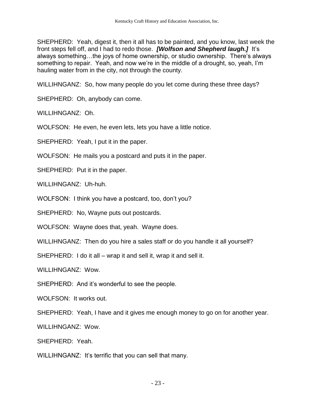SHEPHERD: Yeah, digest it, then it all has to be painted, and you know, last week the front steps fell off, and I had to redo those. *[Wolfson and Shepherd laugh.]* It's always something…the joys of home ownership, or studio ownership. There's always something to repair. Yeah, and now we're in the middle of a drought, so, yeah, I'm hauling water from in the city, not through the county.

WILLIHNGANZ: So, how many people do you let come during these three days?

SHEPHERD: Oh, anybody can come.

WILLIHNGANZ: Oh.

WOLFSON: He even, he even lets, lets you have a little notice.

SHEPHERD: Yeah, I put it in the paper.

WOLFSON: He mails you a postcard and puts it in the paper.

SHEPHERD: Put it in the paper.

WILLIHNGANZ: Uh-huh.

WOLFSON: I think you have a postcard, too, don't you?

SHEPHERD: No, Wayne puts out postcards.

WOLFSON: Wayne does that, yeah. Wayne does.

WILLIHNGANZ: Then do you hire a sales staff or do you handle it all yourself?

SHEPHERD: I do it all – wrap it and sell it, wrap it and sell it.

WILLIHNGANZ: Wow.

SHEPHERD: And it's wonderful to see the people.

WOLFSON: It works out.

SHEPHERD: Yeah, I have and it gives me enough money to go on for another year.

WILLIHNGANZ: Wow.

SHEPHERD: Yeah.

WILLIHNGANZ: It's terrific that you can sell that many.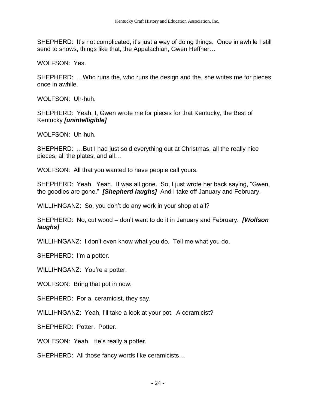SHEPHERD: It's not complicated, it's just a way of doing things. Once in awhile I still send to shows, things like that, the Appalachian, Gwen Heffner…

WOLFSON: Yes.

SHEPHERD: …Who runs the, who runs the design and the, she writes me for pieces once in awhile.

WOLFSON: Uh-huh.

SHEPHERD: Yeah, I, Gwen wrote me for pieces for that Kentucky, the Best of Kentucky *[unintelligible]*

WOLFSON: Uh-huh.

SHEPHERD: …But I had just sold everything out at Christmas, all the really nice pieces, all the plates, and all…

WOLFSON: All that you wanted to have people call yours.

SHEPHERD: Yeah. Yeah. It was all gone. So, I just wrote her back saying, "Gwen, the goodies are gone." *[Shepherd laughs]* And I take off January and February.

WILLIHNGANZ: So, you don't do any work in your shop at all?

SHEPHERD: No, cut wood – don't want to do it in January and February. *[Wolfson laughs]*

WILLIHNGANZ: I don't even know what you do. Tell me what you do.

SHEPHERD: I'm a potter.

WILLIHNGANZ: You're a potter.

WOLFSON: Bring that pot in now.

SHEPHERD: For a, ceramicist, they say.

WILLIHNGANZ: Yeah, I'll take a look at your pot. A ceramicist?

SHEPHERD: Potter. Potter.

WOLFSON: Yeah. He's really a potter.

SHEPHERD: All those fancy words like ceramicists…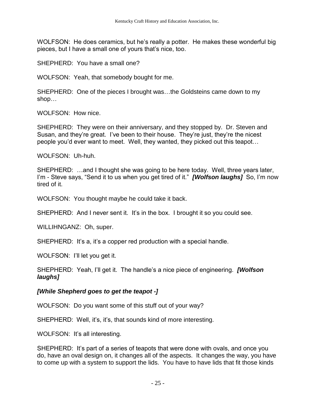WOLFSON: He does ceramics, but he's really a potter. He makes these wonderful big pieces, but I have a small one of yours that's nice, too.

SHEPHERD: You have a small one?

WOLFSON: Yeah, that somebody bought for me.

SHEPHERD: One of the pieces I brought was…the Goldsteins came down to my shop…

WOLFSON: How nice.

SHEPHERD: They were on their anniversary, and they stopped by. Dr. Steven and Susan, and they're great. I've been to their house. They're just, they're the nicest people you'd ever want to meet. Well, they wanted, they picked out this teapot…

WOLFSON: Uh-huh.

SHEPHERD: …and I thought she was going to be here today. Well, three years later, I'm - Steve says, "Send it to us when you get tired of it." *[Wolfson laughs]* So, I'm now tired of it.

WOLFSON: You thought maybe he could take it back.

SHEPHERD: And I never sent it. It's in the box. I brought it so you could see.

WILLIHNGANZ: Oh, super.

SHEPHERD: It's a, it's a copper red production with a special handle.

WOLFSON: I'll let you get it.

SHEPHERD: Yeah, I'll get it. The handle's a nice piece of engineering. *[Wolfson laughs]*

#### *[While Shepherd goes to get the teapot -]*

WOLFSON: Do you want some of this stuff out of your way?

SHEPHERD: Well, it's, it's, that sounds kind of more interesting.

WOLFSON: It's all interesting.

SHEPHERD: It's part of a series of teapots that were done with ovals, and once you do, have an oval design on, it changes all of the aspects. It changes the way, you have to come up with a system to support the lids. You have to have lids that fit those kinds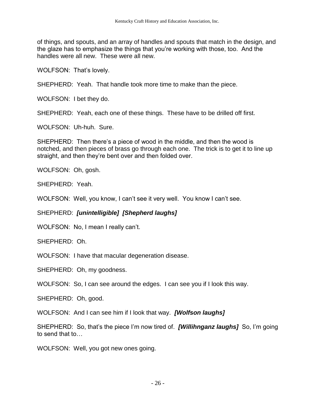of things, and spouts, and an array of handles and spouts that match in the design, and the glaze has to emphasize the things that you're working with those, too. And the handles were all new. These were all new.

WOLFSON: That's lovely.

SHEPHERD: Yeah. That handle took more time to make than the piece.

WOLFSON: I bet they do.

SHEPHERD: Yeah, each one of these things. These have to be drilled off first.

WOLFSON: Uh-huh. Sure.

SHEPHERD: Then there's a piece of wood in the middle, and then the wood is notched, and then pieces of brass go through each one. The trick is to get it to line up straight, and then they're bent over and then folded over.

WOLFSON: Oh, gosh.

SHEPHERD: Yeah.

WOLFSON: Well, you know, I can't see it very well. You know I can't see.

SHEPHERD: *[unintelligible] [Shepherd laughs]*

WOLFSON: No, I mean I really can't.

SHEPHERD: Oh.

WOLFSON: I have that macular degeneration disease.

SHEPHERD: Oh, my goodness.

WOLFSON: So, I can see around the edges. I can see you if I look this way.

SHEPHERD: Oh, good.

WOLFSON: And I can see him if I look that way. *[Wolfson laughs]*

SHEPHERD: So, that's the piece I'm now tired of. *[Willihnganz laughs]* So, I'm going to send that to…

WOLFSON: Well, you got new ones going.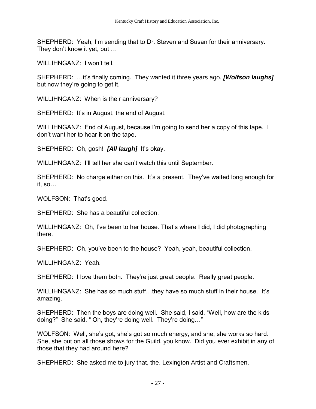SHEPHERD: Yeah, I'm sending that to Dr. Steven and Susan for their anniversary. They don't know it yet, but …

WILLIHNGANZ: I won't tell.

SHEPHERD: …it's finally coming. They wanted it three years ago, *[Wolfson laughs]* but now they're going to get it.

WILLIHNGANZ: When is their anniversary?

SHEPHERD: It's in August, the end of August.

WILLIHNGANZ: End of August, because I'm going to send her a copy of this tape. I don't want her to hear it on the tape.

SHEPHERD: Oh, gosh! *[All laugh]* It's okay.

WILLIHNGANZ: I'll tell her she can't watch this until September.

SHEPHERD: No charge either on this. It's a present. They've waited long enough for it, so…

WOLFSON: That's good.

SHEPHERD: She has a beautiful collection.

WILLIHNGANZ: Oh, I've been to her house. That's where I did, I did photographing there.

SHEPHERD: Oh, you've been to the house? Yeah, yeah, beautiful collection.

WILLIHNGANZ: Yeah.

SHEPHERD: I love them both. They're just great people. Really great people.

WILLIHNGANZ: She has so much stuff...they have so much stuff in their house. It's amazing.

SHEPHERD: Then the boys are doing well. She said, I said, "Well, how are the kids doing?" She said, " Oh, they're doing well. They're doing…"

WOLFSON: Well, she's got, she's got so much energy, and she, she works so hard. She, she put on all those shows for the Guild, you know. Did you ever exhibit in any of those that they had around here?

SHEPHERD: She asked me to jury that, the, Lexington Artist and Craftsmen.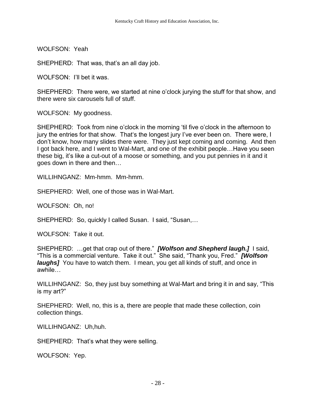WOLFSON: Yeah

SHEPHERD: That was, that's an all day job.

WOLFSON: I'll bet it was.

SHEPHERD: There were, we started at nine o'clock jurying the stuff for that show, and there were six carousels full of stuff.

WOLFSON: My goodness.

SHEPHERD: Took from nine o'clock in the morning 'til five o'clock in the afternoon to jury the entries for that show. That's the longest jury I've ever been on. There were, I don't know, how many slides there were. They just kept coming and coming. And then I got back here, and I went to Wal-Mart, and one of the exhibit people…Have you seen these big, it's like a cut-out of a moose or something, and you put pennies in it and it goes down in there and then…

WILLIHNGANZ: Mm-hmm. Mm-hmm.

SHEPHERD: Well, one of those was in Wal-Mart.

WOLFSON: Oh, no!

SHEPHERD: So, quickly I called Susan. I said, "Susan,…

WOLFSON: Take it out.

SHEPHERD: …get that crap out of there." *[Wolfson and Shepherd laugh.]* I said, "This is a commercial venture. Take it out." She said, "Thank you, Fred." *[Wolfson laughs]* You have to watch them. I mean, you get all kinds of stuff, and once in awhile…

WILLIHNGANZ: So, they just buy something at Wal-Mart and bring it in and say, "This is my art?"

SHEPHERD: Well, no, this is a, there are people that made these collection, coin collection things.

WILLIHNGANZ: Uh,huh.

SHEPHERD: That's what they were selling.

WOLFSON: Yep.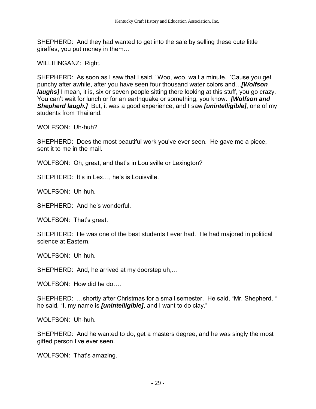SHEPHERD: And they had wanted to get into the sale by selling these cute little giraffes, you put money in them…

WILLIHNGANZ: Right.

SHEPHERD: As soon as I saw that I said, "Woo, woo, wait a minute. 'Cause you get punchy after awhile, after you have seen four thousand water colors and…*[Wolfson laughs]* I mean, it is, six or seven people sitting there looking at this stuff, you go crazy. You can't wait for lunch or for an earthquake or something, you know. *[Wolfson and Shepherd laugh.]* But, it was a good experience, and I saw *[unintelligible]*, one of my students from Thailand.

WOLFSON: Uh-huh?

SHEPHERD: Does the most beautiful work you've ever seen. He gave me a piece, sent it to me in the mail.

WOLFSON: Oh, great, and that's in Louisville or Lexington?

SHEPHERD: It's in Lex…, he's is Louisville.

WOLFSON: Uh-huh.

SHEPHERD: And he's wonderful.

WOLFSON: That's great.

SHEPHERD: He was one of the best students I ever had. He had majored in political science at Eastern.

WOLFSON: Uh-huh.

SHEPHERD: And, he arrived at my doorstep uh,…

WOLFSON: How did he do….

SHEPHERD: …shortly after Christmas for a small semester. He said, "Mr. Shepherd, " he said, "I, my name is *[unintelligible]*, and I want to do clay."

WOLFSON: Uh-huh.

SHEPHERD: And he wanted to do, get a masters degree, and he was singly the most gifted person I've ever seen.

WOLFSON: That's amazing.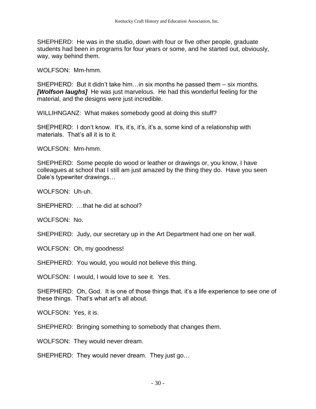SHEPHERD: He was in the studio, down with four or five other people, graduate students had been in programs for four years or some, and he started out, obviously, way, way behind them.

WOLFSON: Mm-hmm.

SHEPHERD: But it didn't take him…in six months he passed them – six months. *[Wolfson laughs]* He was just marvelous. He had this wonderful feeling for the material, and the designs were just incredible.

WILLIHNGANZ: What makes somebody good at doing this stuff?

SHEPHERD: I don't know. It's, it's, it's, it's a, some kind of a relationship with materials. That's all it is to it.

WOLFSON: Mm-hmm.

SHEPHERD: Some people do wood or leather or drawings or, you know, I have colleagues at school that I still am just amazed by the thing they do. Have you seen Dale's typewriter drawings…

WOLFSON: Uh-uh.

SHEPHERD: …that he did at school?

WOLFSON: No.

SHEPHERD: Judy, our secretary up in the Art Department had one on her wall.

WOLFSON: Oh, my goodness!

SHEPHERD: You would, you would not believe this thing.

WOLFSON: I would, I would love to see it. Yes.

SHEPHERD: Oh, God. It is one of those things that, it's a life experience to see one of these things. That's what art's all about.

WOLFSON: Yes, it is.

SHEPHERD: Bringing something to somebody that changes them.

WOLFSON: They would never dream.

SHEPHERD: They would never dream. They just go…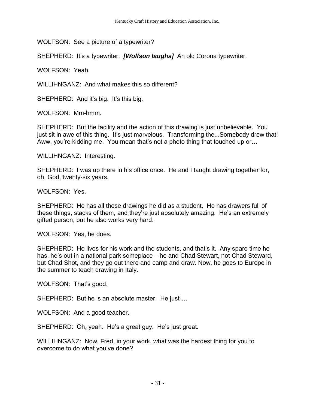WOLFSON: See a picture of a typewriter?

SHEPHERD: It's a typewriter. *[Wolfson laughs]* An old Corona typewriter.

WOLFSON: Yeah.

WILLIHNGANZ: And what makes this so different?

SHEPHERD: And it's big. It's this big.

WOLFSON: Mm-hmm.

SHEPHERD: But the facility and the action of this drawing is just unbelievable. You just sit in awe of this thing. It's just marvelous. Transforming the...Somebody drew that! Aww, you're kidding me. You mean that's not a photo thing that touched up or…

WILLIHNGANZ: Interesting.

SHEPHERD: I was up there in his office once. He and I taught drawing together for, oh, God, twenty-six years.

WOLFSON: Yes.

SHEPHERD: He has all these drawings he did as a student. He has drawers full of these things, stacks of them, and they're just absolutely amazing. He's an extremely gifted person, but he also works very hard.

WOLFSON: Yes, he does.

SHEPHERD: He lives for his work and the students, and that's it. Any spare time he has, he's out in a national park someplace – he and Chad Stewart, not Chad Steward, but Chad Shot, and they go out there and camp and draw. Now, he goes to Europe in the summer to teach drawing in Italy.

WOLFSON: That's good.

SHEPHERD: But he is an absolute master. He just …

WOLFSON: And a good teacher.

SHEPHERD: Oh, yeah. He's a great guy. He's just great.

WILLIHNGANZ: Now, Fred, in your work, what was the hardest thing for you to overcome to do what you've done?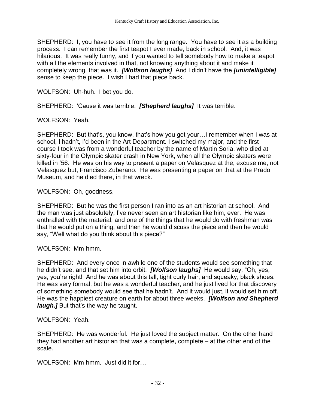SHEPHERD: I, you have to see it from the long range. You have to see it as a building process. I can remember the first teapot I ever made, back in school. And, it was hilarious. It was really funny, and if you wanted to tell somebody how to make a teapot with all the elements involved in that, not knowing anything about it and make it completely wrong, that was it. *[Wolfson laughs]* And I didn't have the *[unintelligible]* sense to keep the piece. I wish I had that piece back.

WOLFSON: Uh-huh. I bet you do.

SHEPHERD: 'Cause it was terrible. *[Shepherd laughs]* It was terrible.

WOLFSON: Yeah.

SHEPHERD: But that's, you know, that's how you get your…I remember when I was at school, I hadn't, I'd been in the Art Department. I switched my major, and the first course I took was from a wonderful teacher by the name of Martin Soria, who died at sixty-four in the Olympic skater crash in New York, when all the Olympic skaters were killed in '56. He was on his way to present a paper on Velasquez at the, excuse me, not Velasquez but, Francisco Zuberano. He was presenting a paper on that at the Prado Museum, and he died there, in that wreck.

WOLFSON: Oh, goodness.

SHEPHERD: But he was the first person I ran into as an art historian at school. And the man was just absolutely, I've never seen an art historian like him, ever. He was enthralled with the material, and one of the things that he would do with freshman was that he would put on a thing, and then he would discuss the piece and then he would say, "Well what do you think about this piece?"

WOLFSON: Mm-hmm.

SHEPHERD: And every once in awhile one of the students would see something that he didn't see, and that set him into orbit. *[Wolfson laughs]* He would say, "Oh, yes, yes, you're right! And he was about this tall, tight curly hair, and squeaky, black shoes. He was very formal, but he was a wonderful teacher, and he just lived for that discovery of something somebody would see that he hadn't. And it would just, it would set him off. He was the happiest creature on earth for about three weeks. *[Wolfson and Shepherd laugh.]* But that's the way he taught.

#### WOLFSON: Yeah.

SHEPHERD: He was wonderful. He just loved the subject matter. On the other hand they had another art historian that was a complete, complete – at the other end of the scale.

WOLFSON: Mm-hmm. Just did it for…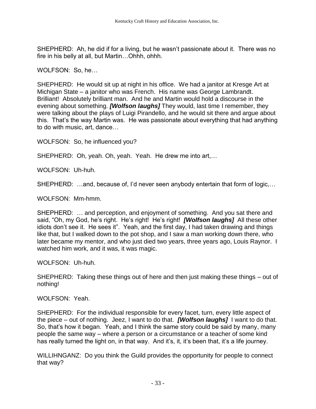SHEPHERD: Ah, he did if for a living, but he wasn't passionate about it. There was no fire in his belly at all, but Martin…Ohhh, ohhh.

WOLFSON: So, he…

SHEPHERD: He would sit up at night in his office. We had a janitor at Kresge Art at Michigan State – a janitor who was French. His name was George Lambrandt. Brilliant! Absolutely brilliant man. And he and Martin would hold a discourse in the evening about something. *[Wolfson laughs]* They would, last time I remember, they were talking about the plays of Luigi Pirandello, and he would sit there and argue about this. That's the way Martin was. He was passionate about everything that had anything to do with music, art, dance…

WOLFSON: So, he influenced you?

SHEPHERD: Oh, yeah. Oh, yeah. Yeah. He drew me into art,…

WOLFSON: Uh-huh.

SHEPHERD: …and, because of, I'd never seen anybody entertain that form of logic,…

WOLFSON: Mm-hmm.

SHEPHERD: … and perception, and enjoyment of something. And you sat there and said, "Oh, my God, he's right. He's right! He's right! *[Wolfson laughs]* All these other idiots don't see it. He sees it". Yeah, and the first day, I had taken drawing and things like that, but I walked down to the pot shop, and I saw a man working down there, who later became my mentor, and who just died two years, three years ago, Louis Raynor. I watched him work, and it was, it was magic.

WOLFSON: Uh-huh.

SHEPHERD: Taking these things out of here and then just making these things – out of nothing!

WOLFSON: Yeah.

SHEPHERD: For the individual responsible for every facet, turn, every little aspect of the piece – out of nothing. Jeez, I want to do that. *[Wolfson laughs]* I want to do that. So, that's how it began. Yeah, and I think the same story could be said by many, many people the same way – where a person or a circumstance or a teacher of some kind has really turned the light on, in that way. And it's, it, it's been that, it's a life journey.

WILLIHNGANZ: Do you think the Guild provides the opportunity for people to connect that way?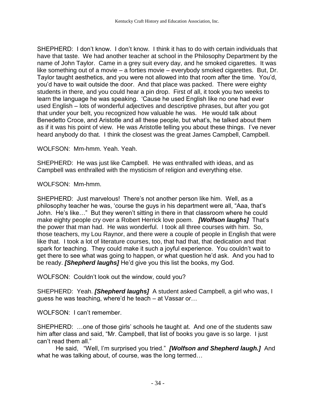SHEPHERD: I don't know. I don't know. I think it has to do with certain individuals that have that taste. We had another teacher at school in the Philosophy Department by the name of John Taylor. Came in a grey suit every day, and he smoked cigarettes. It was like something out of a movie – a forties movie – everybody smoked cigarettes. But, Dr. Taylor taught aesthetics, and you were not allowed into that room after the time. You'd, you'd have to wait outside the door. And that place was packed. There were eighty students in there, and you could hear a pin drop. First of all, it took you two weeks to learn the language he was speaking. 'Cause he used English like no one had ever used English – lots of wonderful adjectives and descriptive phrases, but after you got that under your belt, you recognized how valuable he was. He would talk about Benedetto Croce, and Aristotle and all these people, but what's, he talked about them as if it was his point of view. He was Aristotle telling you about these things. I've never heard anybody do that. I think the closest was the great James Campbell, Campbell.

WOLFSON: Mm-hmm. Yeah. Yeah.

SHEPHERD: He was just like Campbell. He was enthralled with ideas, and as Campbell was enthralled with the mysticism of religion and everything else.

WOLFSON: Mm-hmm.

SHEPHERD: Just marvelous! There's not another person like him. Well, as a philosophy teacher he was, 'course the guys in his department were all, "Aaa, that's John. He's like…" But they weren't sitting in there in that classroom where he could make eighty people cry over a Robert Herrick love poem. *[Wolfson laughs]* That's the power that man had. He was wonderful. I took all three courses with him. So, those teachers, my Lou Raynor, and there were a couple of people in English that were like that. I took a lot of literature courses, too, that had that, that dedication and that spark for teaching. They could make it such a joyful experience. You couldn't wait to get there to see what was going to happen, or what question he'd ask. And you had to be ready. *[Shepherd laughs]* He'd give you this list the books, my God.

WOLFSON: Couldn't look out the window, could you?

SHEPHERD: Yeah. *[Shepherd laughs]* A student asked Campbell, a girl who was, I guess he was teaching, where'd he teach – at Vassar or…

WOLFSON: I can't remember.

SHEPHERD: …one of those girls' schools he taught at. And one of the students saw him after class and said, "Mr. Campbell, that list of books you gave is so large. I just can't read them all."

He said, "Well, I'm surprised you tried." *[Wolfson and Shepherd laugh.]* And what he was talking about, of course, was the long termed…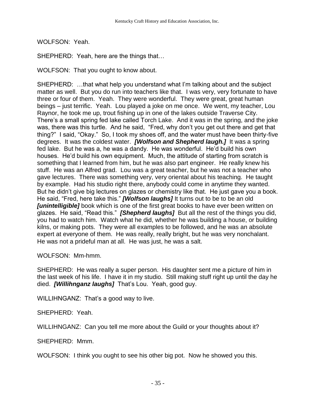WOLFSON: Yeah.

SHEPHERD: Yeah, here are the things that…

WOLFSON: That you ought to know about.

SHEPHERD: …that what help you understand what I'm talking about and the subject matter as well. But you do run into teachers like that. I was very, very fortunate to have three or four of them. Yeah. They were wonderful. They were great, great human beings – just terrific. Yeah. Lou played a joke on me once. We went, my teacher, Lou Raynor, he took me up, trout fishing up in one of the lakes outside Traverse City. There's a small spring fed lake called Torch Lake. And it was in the spring, and the joke was, there was this turtle. And he said, "Fred, why don't you get out there and get that thing?" I said, "Okay." So, I took my shoes off, and the water must have been thirty-five degrees. It was the coldest water. *[Wolfson and Shepherd laugh.]* It was a spring fed lake. But he was a, he was a dandy. He was wonderful. He'd build his own houses. He'd build his own equipment. Much, the attitude of starting from scratch is something that I learned from him, but he was also part engineer. He really knew his stuff. He was an Alfred grad. Lou was a great teacher, but he was not a teacher who gave lectures. There was something very, very oriental about his teaching. He taught by example. Had his studio right there, anybody could come in anytime they wanted. But he didn't give big lectures on glazes or chemistry like that. He just gave you a book. He said, "Fred, here take this." *[Wolfson laughs]* It turns out to be to be an old *[unintelligible]* book which is one of the first great books to have ever been written on glazes. He said, "Read this." *[Shepherd laughs]* But all the rest of the things you did, you had to watch him. Watch what he did, whether he was building a house, or building kilns, or making pots. They were all examples to be followed, and he was an absolute expert at everyone of them. He was really, really bright, but he was very nonchalant. He was not a prideful man at all. He was just, he was a salt.

WOLFSON: Mm-hmm.

SHEPHERD: He was really a super person. His daughter sent me a picture of him in the last week of his life. I have it in my studio. Still making stuff right up until the day he died. *[Willihnganz laughs]* That's Lou. Yeah, good guy.

WILLIHNGANZ: That's a good way to live.

SHEPHERD: Yeah.

WILLIHNGANZ: Can you tell me more about the Guild or your thoughts about it?

SHEPHERD: Mmm.

WOLFSON: I think you ought to see his other big pot. Now he showed you this.